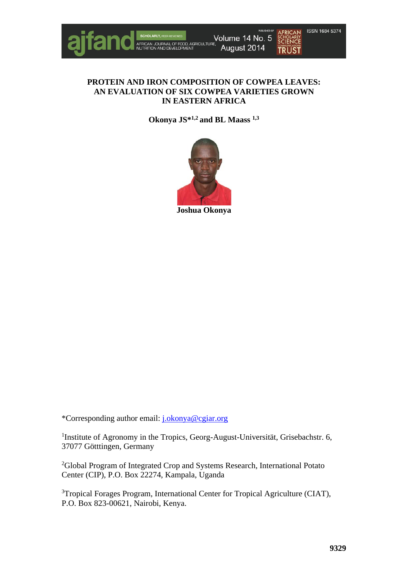

## **PROTEIN AND IRON COMPOSITION OF COWPEA LEAVES: AN EVALUATION OF SIX COWPEA VARIETIES GROWN IN EASTERN AFRICA**

**Okonya JS\*1,2 and BL Maass 1,3**



\*Corresponding author email: [j.okonya@cgiar.org](mailto:j.okonya@cgiar.org)

<sup>1</sup>Institute of Agronomy in the Tropics, Georg-August-Universität, Grisebachstr. 6, 37077 Götttingen, Germany

<sup>2</sup>Global Program of Integrated Crop and Systems Research, International Potato Center (CIP), P.O. Box 22274, Kampala, Uganda

<sup>3</sup>Tropical Forages Program, International Center for Tropical Agriculture (CIAT), P.O. Box 823-00621, Nairobi, Kenya.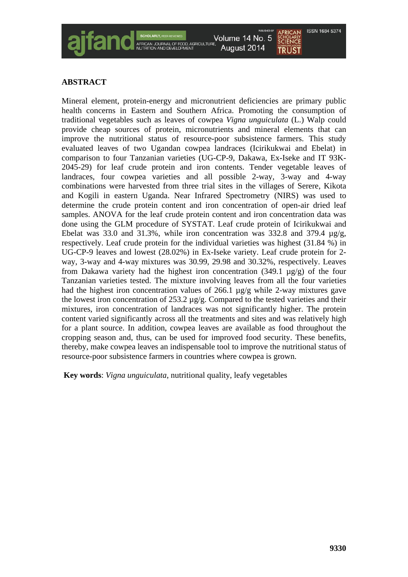# **ABSTRACT**

Mineral element, protein-energy and micronutrient deficiencies are primary public health concerns in Eastern and Southern Africa. Promoting the consumption of traditional vegetables such as leaves of cowpea *Vigna unguiculata* (L.) Walp could provide cheap sources of protein, micronutrients and mineral elements that can improve the nutritional status of resource-poor subsistence farmers. This study evaluated leaves of two Ugandan cowpea landraces (Icirikukwai and Ebelat) in comparison to four Tanzanian varieties (UG-CP-9, Dakawa, Ex-Iseke and IT 93K-2045-29) for leaf crude protein and iron contents. Tender vegetable leaves of landraces, four cowpea varieties and all possible 2-way, 3-way and 4-way combinations were harvested from three trial sites in the villages of Serere, Kikota and Kogili in eastern Uganda. Near Infrared Spectrometry (NIRS) was used to determine the crude protein content and iron concentration of open-air dried leaf samples. ANOVA for the leaf crude protein content and iron concentration data was done using the GLM procedure of SYSTAT. Leaf crude protein of Icirikukwai and Ebelat was 33.0 and 31.3%, while iron concentration was 332.8 and 379.4 µg/g, respectively. Leaf crude protein for the individual varieties was highest (31.84 %) in UG-CP-9 leaves and lowest (28.02%) in Ex-Iseke variety. Leaf crude protein for 2 way, 3-way and 4-way mixtures was 30.99, 29.98 and 30.32%, respectively. Leaves from Dakawa variety had the highest iron concentration  $(349.1 \text{ µg/g})$  of the four Tanzanian varieties tested. The mixture involving leaves from all the four varieties had the highest iron concentration values of 266.1  $\mu$ g/g while 2-way mixtures gave the lowest iron concentration of 253.2 µg/g. Compared to the tested varieties and their mixtures, iron concentration of landraces was not significantly higher. The protein content varied significantly across all the treatments and sites and was relatively high for a plant source. In addition, cowpea leaves are available as food throughout the cropping season and, thus, can be used for improved food security. These benefits, thereby, make cowpea leaves an indispensable tool to improve the nutritional status of resource-poor subsistence farmers in countries where cowpea is grown.

Volume 14 No. 5

August 2014

**Key words**: *Vigna unguiculata*, nutritional quality, leafy vegetables

**ISSN 1684 5374** 

**SCIENCE** 

**TRIIST**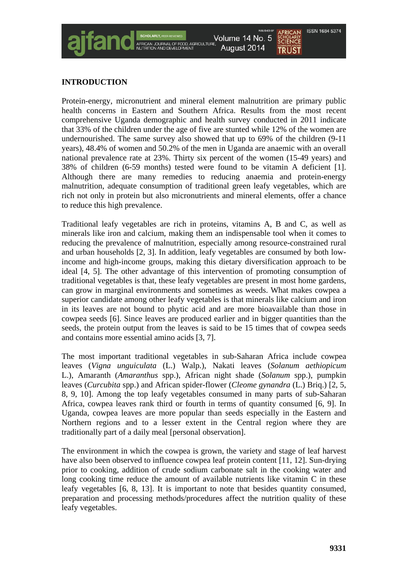#### **ISSN 1684 5374** Volume 14 No. 5 **SCIENCE** August 2014 **TRIIST**

# **INTRODUCTION**

Protein-energy, micronutrient and mineral element malnutrition are primary public health concerns in Eastern and Southern Africa. Results from the most recent comprehensive Uganda demographic and health survey conducted in 2011 indicate that 33% of the children under the age of five are stunted while 12% of the women are undernourished. The same survey also showed that up to 69% of the children (9-11 years), 48.4% of women and 50.2% of the men in Uganda are anaemic with an overall national prevalence rate at 23%. Thirty six percent of the women (15-49 years) and 38% of children (6-59 months) tested were found to be vitamin A deficient [1]. Although there are many remedies to reducing anaemia and protein-energy malnutrition, adequate consumption of traditional green leafy vegetables, which are rich not only in protein but also micronutrients and mineral elements, offer a chance to reduce this high prevalence.

Traditional leafy vegetables are rich in proteins, vitamins A, B and C, as well as minerals like iron and calcium, making them an indispensable tool when it comes to reducing the prevalence of malnutrition, especially among resource-constrained rural and urban households [2, 3]. In addition, leafy vegetables are consumed by both lowincome and high-income groups, making this dietary diversification approach to be ideal [4, 5]. The other advantage of this intervention of promoting consumption of traditional vegetables is that, these leafy vegetables are present in most home gardens, can grow in marginal environments and sometimes as weeds. What makes cowpea a superior candidate among other leafy vegetables is that minerals like calcium and iron in its leaves are not bound to phytic acid and are more bioavailable than those in cowpea seeds [6]. Since leaves are produced earlier and in bigger quantities than the seeds, the protein output from the leaves is said to be 15 times that of cowpea seeds and contains more essential amino acids [3, 7].

The most important traditional vegetables in sub-Saharan Africa include cowpea leaves (*Vigna unguiculata* (L.) Walp.), Nakati leaves (*Solanum aethiopicum* [L.\)](http://en.wikipedia.org/wiki/Carl_Linnaeus), Amaranth (*Amaranthus* spp.), African night shade (*Solanum* spp.), pumpkin leaves (*Curcubita* spp.) and African spider-flower (*Cleome gynandra* (L.) Briq.) [2, 5, 8, 9, 10]. Among the top leafy vegetables consumed in many parts of sub-Saharan Africa, cowpea leaves rank third or fourth in terms of quantity consumed [6, 9]. In Uganda, cowpea leaves are more popular than seeds especially in the Eastern and Northern regions and to a lesser extent in the Central region where they are traditionally part of a daily meal [personal observation].

The environment in which the cowpea is grown, the variety and stage of leaf harvest have also been observed to influence cowpea leaf protein content [11, 12]. Sun-drying prior to cooking, addition of crude sodium carbonate salt in the cooking water and long cooking time reduce the amount of available nutrients like vitamin C in these leafy vegetables [6, 8, 13]. It is important to note that besides quantity consumed, preparation and processing methods/procedures affect the nutrition quality of these leafy vegetables.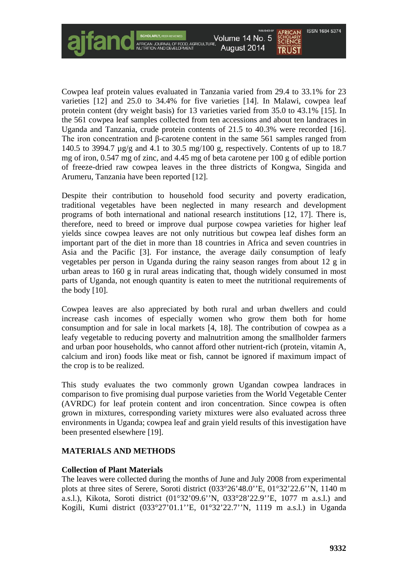

Cowpea leaf protein values evaluated in Tanzania varied from 29.4 to 33.1% for 23 varieties [12] and 25.0 to 34.4% for five varieties [14]. In Malawi, cowpea leaf protein content (dry weight basis) for 13 varieties varied from 35.0 to 43.1% [15]. In the 561 cowpea leaf samples collected from ten accessions and about ten landraces in Uganda and Tanzania, crude protein contents of 21.5 to 40.3% were recorded [16]. The iron concentration and β-carotene content in the same 561 samples ranged from 140.5 to 3994.7 µg/g and 4.1 to 30.5 mg/100 g, respectively. Contents of up to 18.7 mg of iron, 0.547 mg of zinc, and 4.45 mg of beta carotene per 100 g of edible portion of freeze-dried raw cowpea leaves in the three districts of Kongwa, Singida and Arumeru, Tanzania have been reported [12].

Despite their contribution to household food security and poverty eradication, traditional vegetables have been neglected in many research and development programs of both international and national research institutions [12, 17]. There is, therefore, need to breed or improve dual purpose cowpea varieties for higher leaf yields since cowpea leaves are not only nutritious but cowpea leaf dishes form an important part of the diet in more than 18 countries in Africa and seven countries in Asia and the Pacific [3]. For instance, the average daily consumption of leafy vegetables per person in Uganda during the rainy season ranges from about 12 g in urban areas to 160 g in rural areas indicating that, though widely consumed in most parts of Uganda, not enough quantity is eaten to meet the nutritional requirements of the body [10].

Cowpea leaves are also appreciated by both rural and urban dwellers and could increase cash incomes of especially women who grow them both for home consumption and for sale in local markets [4, 18]. The contribution of cowpea as a leafy vegetable to reducing poverty and malnutrition among the smallholder farmers and urban poor households, who cannot afford other nutrient-rich (protein, vitamin A, calcium and iron) foods like meat or fish, cannot be ignored if maximum impact of the crop is to be realized.

This study evaluates the two commonly grown Ugandan cowpea landraces in comparison to five promising dual purpose varieties from the World Vegetable Center (AVRDC) for leaf protein content and iron concentration. Since cowpea is often grown in mixtures, corresponding variety mixtures were also evaluated across three environments in Uganda; cowpea leaf and grain yield results of this investigation have been presented elsewhere [19].

# **MATERIALS AND METHODS**

#### **Collection of Plant Materials**

The leaves were collected during the months of June and July 2008 from experimental plots at three sites of Serere, Soroti district (033°26'48.0''E, 01°32'22.6''N, 1140 m a.s.l.), Kikota, Soroti district (01°32'09.6''N, 033°28'22.9''E, 1077 m a.s.l.) and Kogili, Kumi district (033°27'01.1''E, 01°32'22.7''N, 1119 m a.s.l.) in Uganda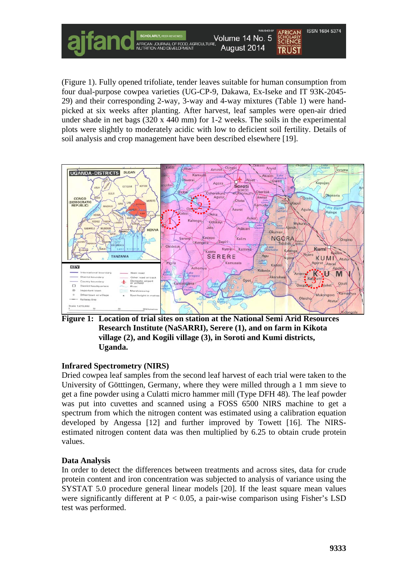(Figure 1). Fully opened trifoliate, tender leaves suitable for human consumption from four dual-purpose cowpea varieties (UG-CP-9, Dakawa, Ex-Iseke and IT 93K-2045- 29) and their corresponding 2-way, 3-way and 4-way mixtures (Table 1) were handpicked at six weeks after planting. After harvest, leaf samples were open-air dried under shade in net bags (320 x 440 mm) for 1-2 weeks. The soils in the experimental plots were slightly to moderately acidic with low to deficient soil fertility. Details of soil analysis and crop management have been described elsewhere [19].

Volume 14 No. 5

August 2014



**Figure 1: Location of trial sites on station at the National Semi Arid Resources Research Institute (NaSARRI), Serere (1), and on farm in Kikota village (2), and Kogili village (3), in Soroti and Kumi districts, Uganda.**

#### **Infrared Spectrometry (NIRS)**

Dried cowpea leaf samples from the second leaf harvest of each trial were taken to the University of Götttingen, Germany, where they were milled through a 1 mm sieve to get a fine powder using a Culatti micro hammer mill (Type DFH 48). The leaf powder was put into cuvettes and scanned using a FOSS 6500 NIRS machine to get a spectrum from which the nitrogen content was estimated using a calibration equation developed by Angessa [12] and further improved by Towett [16]. The NIRSestimated nitrogen content data was then multiplied by 6.25 to obtain crude protein values.

#### **Data Analysis**

In order to detect the differences between treatments and across sites, data for crude protein content and iron concentration was subjected to analysis of variance using the SYSTAT 5.0 procedure general linear models [20]. If the least square mean values were significantly different at  $P < 0.05$ , a pair-wise comparison using Fisher's LSD test was performed.

**ISSN 1684 5374** 

**SCHOLARLY**<br>**SCIENCE** 

**TRUST**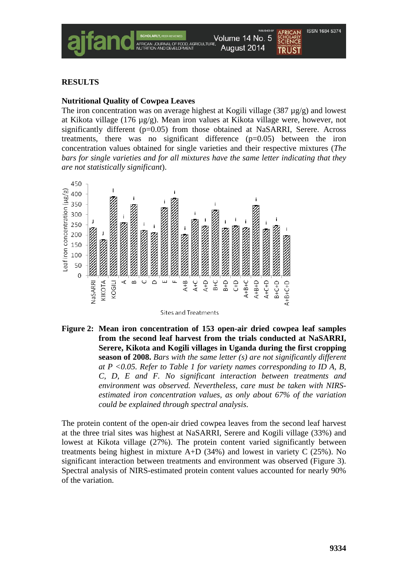

# **RESULTS**

## **Nutritional Quality of Cowpea Leaves**

The iron concentration was on average highest at Kogili village (387  $\mu$ g/g) and lowest at Kikota village (176 µg/g). Mean iron values at Kikota village were, however, not significantly different  $(p=0.05)$  from those obtained at NaSARRI, Serere. Across treatments, there was no significant difference  $(p=0.05)$  between the iron concentration values obtained for single varieties and their respective mixtures (*The bars for single varieties and for all mixtures have the same letter indicating that they are not statistically significant*).



Sites and Treatments

**Figure 2: Mean iron concentration of 153 open-air dried cowpea leaf samples from the second leaf harvest from the trials conducted at NaSARRI, Serere, Kikota and Kogili villages in Uganda during the first cropping season of 2008.** *Bars with the same letter (s) are not significantly different at P <0.05. Refer to Table 1 for variety names corresponding to ID A, B, C, D, E and F. No significant interaction between treatments and environment was observed. Nevertheless, care must be taken with NIRSestimated iron concentration values, as only about 67% of the variation could be explained through spectral analysis.*

The protein content of the open-air dried cowpea leaves from the second leaf harvest at the three trial sites was highest at NaSARRI, Serere and Kogili village (33%) and lowest at Kikota village (27%). The protein content varied significantly between treatments being highest in mixture A+D (34%) and lowest in variety C (25%). No significant interaction between treatments and environment was observed (Figure 3). Spectral analysis of NIRS-estimated protein content values accounted for nearly 90% of the variation.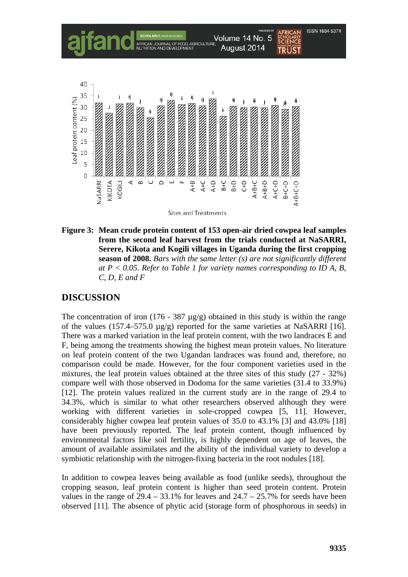

Sites and Treatments

**Figure 3: Mean crude protein content of 153 open-air dried cowpea leaf samples from the second leaf harvest from the trials conducted at NaSARRI, Serere, Kikota and Kogili villages in Uganda during the first cropping season of 2008.** *Bars with the same letter (s) are not significantly different at P < 0.05. Refer to Table 1 for variety names corresponding to ID A, B, C, D, E and F*

# **DISCUSSION**

The concentration of iron (176 - 387  $\mu$ g/g) obtained in this study is within the range of the values (157.4–575.0  $\mu$ g/g) reported for the same varieties at NaSARRI [16]. There was a marked variation in the leaf protein content, with the two landraces E and F, being among the treatments showing the highest mean protein values. No literature on leaf protein content of the two Ugandan landraces was found and, therefore, no comparison could be made. However, for the four component varieties used in the mixtures, the leaf protein values obtained at the three sites of this study (27 - 32%) compare well with those observed in Dodoma for the same varieties (31.4 to 33.9%) [12]. The protein values realized in the current study are in the range of 29.4 to 34.3%, which is similar to what other researchers observed although they were working with different varieties in sole-cropped cowpea [5, 11]. However, considerably higher cowpea leaf protein values of 35.0 to 43.1% [3] and 43.0% [18] have been previously reported. The leaf protein content, though influenced by environmental factors like soil fertility, is highly dependent on age of leaves, the amount of available assimilates and the ability of the individual variety to develop a symbiotic relationship with the nitrogen-fixing bacteria in the root nodules [18].

In addition to cowpea leaves being available as food (unlike seeds), throughout the cropping season, leaf protein content is higher than seed protein content. Protein values in the range of  $29.4 - 33.1\%$  for leaves and  $24.7 - 25.7\%$  for seeds have been observed [11]. The absence of phytic acid (storage form of phosphorous in seeds) in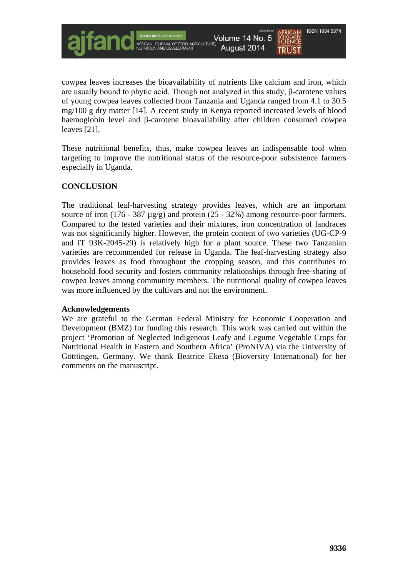

cowpea leaves increases the bioavailability of nutrients like calcium and iron, which are usually bound to phytic acid. Though not analyzed in this study, β-carotene values of young cowpea leaves collected from Tanzania and Uganda ranged from 4.1 to 30.5 mg/100 g dry matter [14]. A recent study in Kenya reported increased levels of blood haemoglobin level and β-carotene bioavailability after children consumed cowpea leaves [21].

These nutritional benefits, thus, make cowpea leaves an indispensable tool when targeting to improve the nutritional status of the resource-poor subsistence farmers especially in Uganda.

# **CONCLUSION**

The traditional leaf-harvesting strategy provides leaves, which are an important source of iron (176 - 387  $\mu$ g/g) and protein (25 - 32%) among resource-poor farmers. Compared to the tested varieties and their mixtures, iron concentration of landraces was not significantly higher. However, the protein content of two varieties (UG-CP-9 and IT 93K-2045-29) is relatively high for a plant source. These two Tanzanian varieties are recommended for release in Uganda. The leaf-harvesting strategy also provides leaves as food throughout the cropping season, and this contributes to household food security and fosters community relationships through free-sharing of cowpea leaves among community members. The nutritional quality of cowpea leaves was more influenced by the cultivars and not the environment.

#### **Acknowledgements**

We are grateful to the German Federal Ministry for Economic Cooperation and Development (BMZ) for funding this research. This work was carried out within the project 'Promotion of Neglected Indigenous Leafy and Legume Vegetable Crops for Nutritional Health in Eastern and Southern Africa' (ProNIVA) via the University of Götttingen, Germany. We thank Beatrice Ekesa (Bioversity International) for her comments on the manuscript.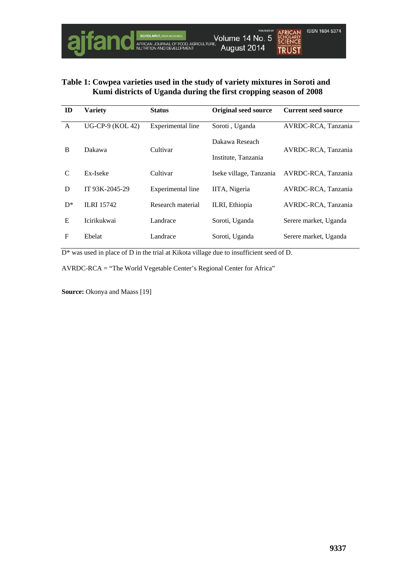

# **Table 1: Cowpea varieties used in the study of variety mixtures in Soroti and Kumi districts of Uganda during the first cropping season of 2008**

| ID         | <b>Variety</b>          | <b>Status</b>     | <b>Original seed source</b> | <b>Current seed source</b> |
|------------|-------------------------|-------------------|-----------------------------|----------------------------|
| A          | <b>UG-CP-9 (KOL 42)</b> | Experimental line | Soroti, Uganda              | AVRDC-RCA, Tanzania        |
| B          | Dakawa                  | Cultivar          | Dakawa Reseach              | AVRDC-RCA, Tanzania        |
|            |                         |                   | Institute, Tanzania         |                            |
| C          | Ex-Iseke                | Cultivar          | Iseke village, Tanzania     | AVRDC-RCA, Tanzania        |
| D          | IT 93K-2045-29          | Experimental line | IITA, Nigeria               | AVRDC-RCA, Tanzania        |
| $D^*$      | <b>ILRI 15742</b>       | Research material | ILRI, Ethiopia              | AVRDC-RCA, Tanzania        |
| E          | <b>Icirikukwai</b>      | Landrace          | Soroti, Uganda              | Serere market, Uganda      |
| $_{\rm F}$ | Ebelat                  | Landrace          | Soroti, Uganda              | Serere market, Uganda      |

D\* was used in place of D in the trial at Kikota village due to insufficient seed of D.

AVRDC-RCA = "The World Vegetable Center's Regional Center for Africa"

**Source:** Okonya and Maass [19]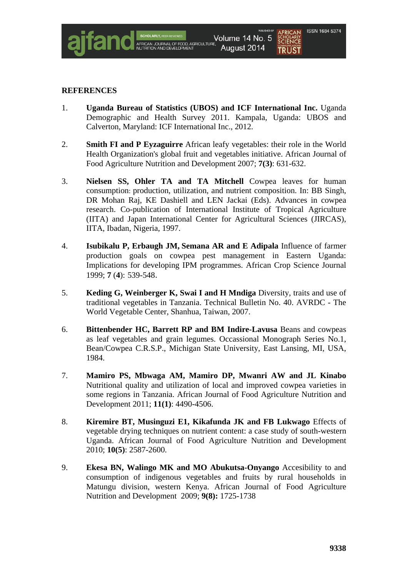

## **REFERENCES**

- 1. **Uganda Bureau of Statistics (UBOS) and ICF International Inc.** Uganda Demographic and Health Survey 2011. Kampala, Uganda: UBOS and Calverton, Maryland: ICF International Inc., 2012.
- 2. **Smith FI and P Eyzaguirre** African leafy vegetables: their role in the World Health Organization's global fruit and vegetables initiative. African Journal of Food Agriculture Nutrition and Development 2007; **7(3)**: 631-632.
- 3. **Nielsen SS, Ohler TA and TA Mitchell** Cowpea leaves for human consumption: production, utilization, and nutrient composition. In: BB Singh, DR Mohan Raj, KE Dashiell and LEN Jackai (Eds). Advances in cowpea research. Co-publication of International Institute of Tropical Agriculture (IITA) and Japan International Center for Agricultural Sciences (JIRCAS), IITA, Ibadan, Nigeria, 1997.
- 4. **Isubikalu P, Erbaugh JM, Semana AR and E Adipala** Influence of farmer production goals on cowpea pest management in Eastern Uganda: Implications for developing IPM programmes. African Crop Science Journal 1999; **7** (**4**): 539-548.
- 5. **Keding G, Weinberger K, Swai I and H Mndiga** Diversity, traits and use of traditional vegetables in Tanzania. Technical Bulletin No. 40. AVRDC - The World Vegetable Center, Shanhua, Taiwan, 2007.
- 6. **Bittenbender HC, Barrett RP and BM Indire-Lavusa** Beans and cowpeas as leaf vegetables and grain legumes. Occassional Monograph Series No.1, Bean/Cowpea C.R.S.P., Michigan State University, East Lansing, MI, USA, 1984.
- 7. **Mamiro PS, Mbwaga AM, Mamiro DP, Mwanri AW and JL Kinabo** Nutritional quality and utilization of local and improved cowpea varieties in some regions in Tanzania. African Journal of Food Agriculture Nutrition and Development 2011; **11(1)**: 4490-4506.
- 8. **Kiremire BT, Musinguzi E1, Kikafunda JK and FB Lukwago** Effects of vegetable drying techniques on nutrient content: a case study of south-western Uganda. African Journal of Food Agriculture Nutrition and Development 2010; **10(5)**: 2587-2600.
- 9. **Ekesa BN, Walingo MK and MO Abukutsa-Onyango** Accesibility to and consumption of indigenous vegetables and fruits by rural households in Matungu division, western Kenya. African Journal of Food Agriculture Nutrition and Development 2009; **9(8):** 1725-1738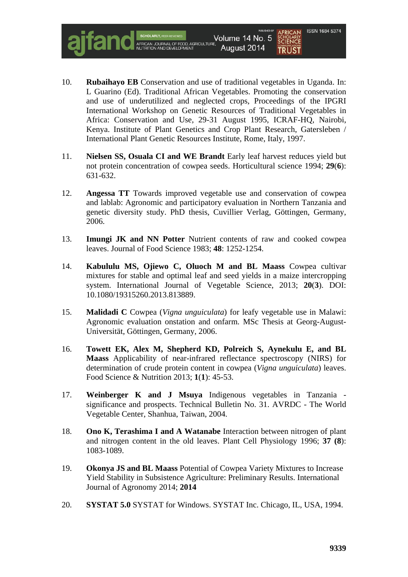10. **Rubaihayo EB** Conservation and use of traditional vegetables in Uganda. In: L Guarino (Ed). Traditional African Vegetables. Promoting the conservation and use of underutilized and neglected crops, Proceedings of the IPGRI International Workshop on Genetic Resources of Traditional Vegetables in Africa: Conservation and Use, 29-31 August 1995, ICRAF-HQ, Nairobi, Kenya. Institute of Plant Genetics and Crop Plant Research, Gatersleben / International Plant Genetic Resources Institute, Rome, Italy, 1997.

Volume 14 No. 5

August 2014

- 11. **Nielsen SS, Osuala CI and WE Brandt** Early leaf harvest reduces yield but not protein concentration of cowpea seeds. Horticultural science 1994; **29**(**6**): 631-632.
- 12. **Angessa TT** Towards improved vegetable use and conservation of cowpea and lablab: Agronomic and participatory evaluation in Northern Tanzania and genetic diversity study. PhD thesis, Cuvillier Verlag, Göttingen, Germany, 2006.
- 13. **Imungi JK and NN Potter** Nutrient contents of raw and cooked cowpea leaves. Journal of Food Science 1983; **48**: 1252-1254.
- 14. **Kabululu MS, Ojiewo C, Oluoch M and BL Maass** Cowpea cultivar mixtures for stable and optimal leaf and seed yields in a maize intercropping system. International Journal of Vegetable Science, 2013; **20**(**3**). DOI: 10.1080/19315260.2013.813889.
- 15. **Malidadi C** Cowpea (*Vigna unguiculata*) for leafy vegetable use in Malawi: Agronomic evaluation onstation and onfarm. MSc Thesis at Georg-August-Universität, Göttingen, Germany, 2006.
- 16. **Towett EK, Alex M, Shepherd KD, Polreich S, Aynekulu E, and BL Maass** Applicability of near-infrared reflectance spectroscopy (NIRS) for determination of crude protein content in cowpea (*Vigna unguiculata*) leaves. Food Science & Nutrition 2013; **1**(**1**): 45-53.
- 17. **Weinberger K and J Msuya** Indigenous vegetables in Tanzania significance and prospects. Technical Bulletin No. 31. AVRDC - The World Vegetable Center, Shanhua, Taiwan, 2004.
- 18. **Ono K, Terashima I and A Watanabe** Interaction between nitrogen of plant and nitrogen content in the old leaves. Plant Cell Physiology 1996; **37 (8**): 1083-1089.
- 19. **Okonya JS and BL Maass** Potential of Cowpea Variety Mixtures to Increase Yield Stability in Subsistence Agriculture: Preliminary Results. International Journal of Agronomy 2014; **2014**
- 20. **SYSTAT 5.0** SYSTAT for Windows. SYSTAT Inc. Chicago, IL, USA, 1994.

ISSN 1684 5374

**SCHOLARLY**<br>**SCIENCE** 

TRIJST